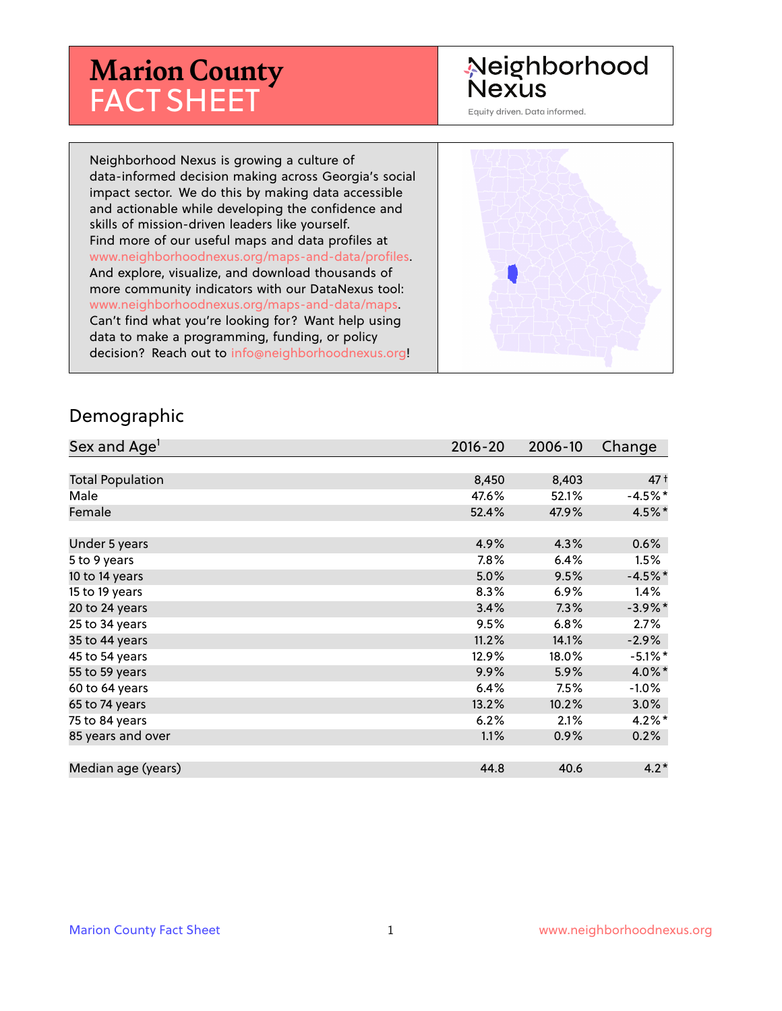# **Marion County** FACT SHEET

# Neighborhood **Nexus**

Equity driven. Data informed.

Neighborhood Nexus is growing a culture of data-informed decision making across Georgia's social impact sector. We do this by making data accessible and actionable while developing the confidence and skills of mission-driven leaders like yourself. Find more of our useful maps and data profiles at www.neighborhoodnexus.org/maps-and-data/profiles. And explore, visualize, and download thousands of more community indicators with our DataNexus tool: www.neighborhoodnexus.org/maps-and-data/maps. Can't find what you're looking for? Want help using data to make a programming, funding, or policy decision? Reach out to [info@neighborhoodnexus.org!](mailto:info@neighborhoodnexus.org)



#### Demographic

| Sex and Age <sup>1</sup> | $2016 - 20$ | 2006-10 | Change          |
|--------------------------|-------------|---------|-----------------|
|                          |             |         |                 |
| <b>Total Population</b>  | 8,450       | 8,403   | 47 <sup>†</sup> |
| Male                     | 47.6%       | 52.1%   | $-4.5%$ *       |
| Female                   | 52.4%       | 47.9%   | 4.5%*           |
|                          |             |         |                 |
| Under 5 years            | 4.9%        | 4.3%    | 0.6%            |
| 5 to 9 years             | $7.8\%$     | 6.4%    | 1.5%            |
| 10 to 14 years           | 5.0%        | 9.5%    | $-4.5%$ *       |
| 15 to 19 years           | 8.3%        | $6.9\%$ | 1.4%            |
| 20 to 24 years           | 3.4%        | 7.3%    | $-3.9\%$ *      |
| 25 to 34 years           | 9.5%        | 6.8%    | 2.7%            |
| 35 to 44 years           | 11.2%       | 14.1%   | $-2.9\%$        |
| 45 to 54 years           | 12.9%       | 18.0%   | $-5.1\%$ *      |
| 55 to 59 years           | 9.9%        | 5.9%    | 4.0%*           |
| 60 to 64 years           | 6.4%        | 7.5%    | $-1.0%$         |
| 65 to 74 years           | 13.2%       | 10.2%   | $3.0\%$         |
| 75 to 84 years           | 6.2%        | 2.1%    | $4.2\%$ *       |
| 85 years and over        | 1.1%        | 0.9%    | 0.2%            |
|                          |             |         |                 |
| Median age (years)       | 44.8        | 40.6    | $4.2*$          |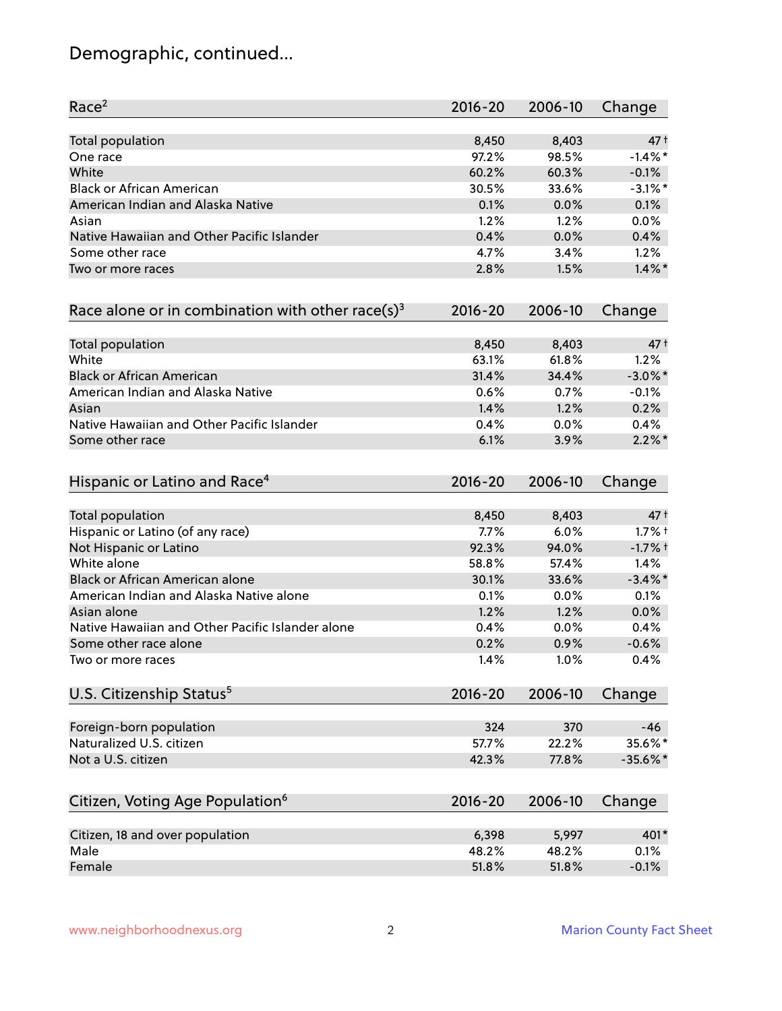# Demographic, continued...

| Race <sup>2</sup>                                            | $2016 - 20$ | 2006-10 | Change     |
|--------------------------------------------------------------|-------------|---------|------------|
| <b>Total population</b>                                      | 8,450       | 8,403   | $47+$      |
| One race                                                     | 97.2%       | 98.5%   | $-1.4\%$ * |
| White                                                        | 60.2%       | 60.3%   | $-0.1%$    |
| <b>Black or African American</b>                             | 30.5%       | 33.6%   | $-3.1\%$ * |
| American Indian and Alaska Native                            | 0.1%        | 0.0%    | 0.1%       |
| Asian                                                        | 1.2%        | 1.2%    | 0.0%       |
| Native Hawaiian and Other Pacific Islander                   | 0.4%        | 0.0%    | 0.4%       |
| Some other race                                              | 4.7%        | 3.4%    | 1.2%       |
| Two or more races                                            | 2.8%        | 1.5%    | $1.4\%$ *  |
| Race alone or in combination with other race(s) <sup>3</sup> | $2016 - 20$ | 2006-10 | Change     |
| Total population                                             | 8,450       | 8,403   | $47+$      |
| White                                                        | 63.1%       | 61.8%   | 1.2%       |
| <b>Black or African American</b>                             | 31.4%       | 34.4%   | $-3.0\%$ * |
| American Indian and Alaska Native                            | 0.6%        | 0.7%    | $-0.1%$    |
| Asian                                                        | 1.4%        | 1.2%    | 0.2%       |
| Native Hawaiian and Other Pacific Islander                   | 0.4%        | 0.0%    | 0.4%       |
| Some other race                                              | 6.1%        | 3.9%    | $2.2\%$ *  |
| Hispanic or Latino and Race <sup>4</sup>                     | $2016 - 20$ | 2006-10 | Change     |
| Total population                                             | 8,450       | 8,403   | $47+$      |
| Hispanic or Latino (of any race)                             | 7.7%        | 6.0%    | $1.7%$ †   |
| Not Hispanic or Latino                                       | 92.3%       | 94.0%   | $-1.7%$ †  |
| White alone                                                  | 58.8%       | 57.4%   | 1.4%       |
| Black or African American alone                              | 30.1%       | 33.6%   | $-3.4\%$ * |
| American Indian and Alaska Native alone                      | 0.1%        | $0.0\%$ | 0.1%       |
| Asian alone                                                  | 1.2%        | 1.2%    | 0.0%       |
| Native Hawaiian and Other Pacific Islander alone             | 0.4%        | 0.0%    | 0.4%       |
| Some other race alone                                        | 0.2%        | 0.9%    | $-0.6%$    |
| Two or more races                                            | 1.4%        | 1.0%    | 0.4%       |
| U.S. Citizenship Status <sup>5</sup>                         | $2016 - 20$ | 2006-10 | Change     |
| Foreign-born population                                      | 324         | 370     | $-46$      |
| Naturalized U.S. citizen                                     | 57.7%       | 22.2%   | 35.6%*     |
| Not a U.S. citizen                                           | 42.3%       | 77.8%   | $-35.6%$ * |
| Citizen, Voting Age Population <sup>6</sup>                  | $2016 - 20$ | 2006-10 | Change     |
|                                                              |             |         |            |
| Citizen, 18 and over population                              | 6,398       | 5,997   | 401*       |
| Male                                                         | 48.2%       | 48.2%   | 0.1%       |
| Female                                                       | 51.8%       | 51.8%   | $-0.1%$    |
|                                                              |             |         |            |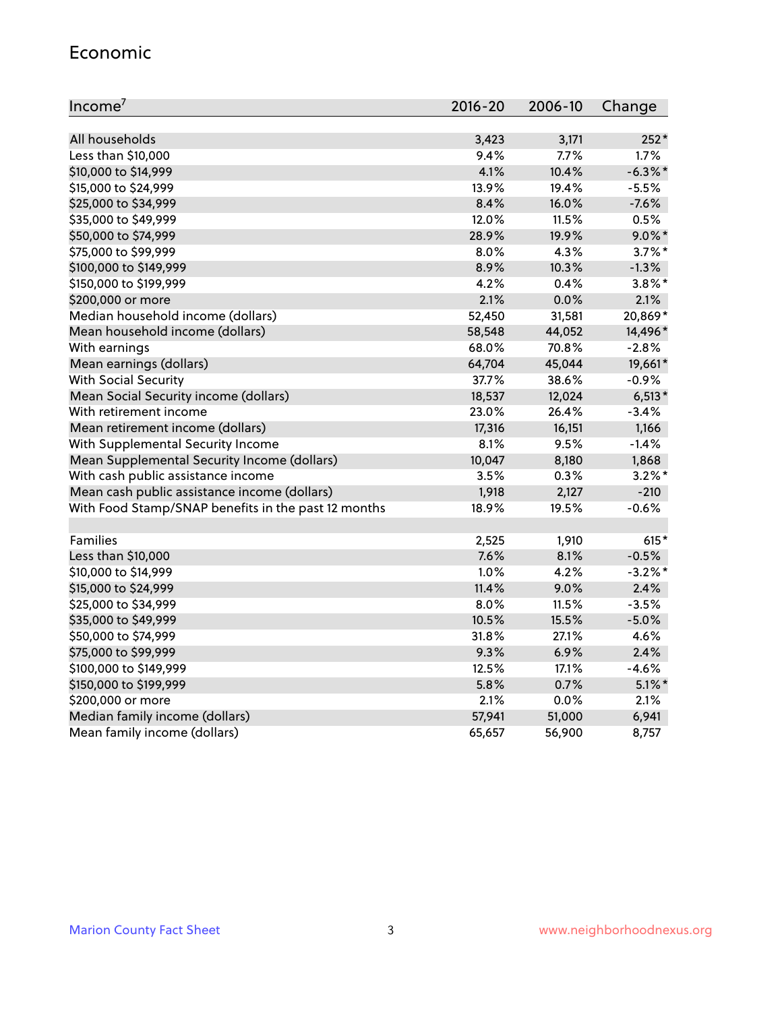#### Economic

| Income <sup>7</sup>                                 | $2016 - 20$ | 2006-10 | Change     |
|-----------------------------------------------------|-------------|---------|------------|
|                                                     |             |         |            |
| All households                                      | 3,423       | 3,171   | $252*$     |
| Less than \$10,000                                  | 9.4%        | 7.7%    | 1.7%       |
| \$10,000 to \$14,999                                | 4.1%        | 10.4%   | $-6.3\%$ * |
| \$15,000 to \$24,999                                | 13.9%       | 19.4%   | $-5.5%$    |
| \$25,000 to \$34,999                                | 8.4%        | 16.0%   | $-7.6%$    |
| \$35,000 to \$49,999                                | 12.0%       | 11.5%   | 0.5%       |
| \$50,000 to \$74,999                                | 28.9%       | 19.9%   | $9.0\%$ *  |
| \$75,000 to \$99,999                                | $8.0\%$     | 4.3%    | $3.7\%$ *  |
| \$100,000 to \$149,999                              | 8.9%        | 10.3%   | $-1.3%$    |
| \$150,000 to \$199,999                              | 4.2%        | 0.4%    | $3.8\%$ *  |
| \$200,000 or more                                   | 2.1%        | 0.0%    | 2.1%       |
| Median household income (dollars)                   | 52,450      | 31,581  | 20,869*    |
| Mean household income (dollars)                     | 58,548      | 44,052  | 14,496*    |
| With earnings                                       | 68.0%       | 70.8%   | $-2.8%$    |
| Mean earnings (dollars)                             | 64,704      | 45,044  | 19,661*    |
| <b>With Social Security</b>                         | 37.7%       | 38.6%   | $-0.9%$    |
| Mean Social Security income (dollars)               | 18,537      | 12,024  | $6,513*$   |
| With retirement income                              | 23.0%       | 26.4%   | $-3.4%$    |
| Mean retirement income (dollars)                    | 17,316      | 16,151  | 1,166      |
| With Supplemental Security Income                   | $8.1\%$     | 9.5%    | $-1.4%$    |
| Mean Supplemental Security Income (dollars)         | 10,047      | 8,180   | 1,868      |
| With cash public assistance income                  | 3.5%        | 0.3%    | $3.2\%$ *  |
| Mean cash public assistance income (dollars)        | 1,918       | 2,127   | $-210$     |
| With Food Stamp/SNAP benefits in the past 12 months | 18.9%       | 19.5%   | $-0.6%$    |
|                                                     |             |         |            |
| Families                                            | 2,525       | 1,910   | $615*$     |
| Less than \$10,000                                  | 7.6%        | 8.1%    | $-0.5%$    |
| \$10,000 to \$14,999                                | 1.0%        | 4.2%    | $-3.2%$ *  |
| \$15,000 to \$24,999                                | 11.4%       | 9.0%    | 2.4%       |
| \$25,000 to \$34,999                                | 8.0%        | 11.5%   | $-3.5%$    |
| \$35,000 to \$49,999                                | 10.5%       | 15.5%   | $-5.0%$    |
| \$50,000 to \$74,999                                | 31.8%       | 27.1%   | 4.6%       |
| \$75,000 to \$99,999                                | 9.3%        | 6.9%    | 2.4%       |
| \$100,000 to \$149,999                              | 12.5%       | 17.1%   | $-4.6%$    |
| \$150,000 to \$199,999                              | 5.8%        | 0.7%    | $5.1\%$ *  |
| \$200,000 or more                                   | 2.1%        | 0.0%    | 2.1%       |
| Median family income (dollars)                      | 57,941      | 51,000  | 6,941      |
| Mean family income (dollars)                        | 65,657      | 56,900  | 8,757      |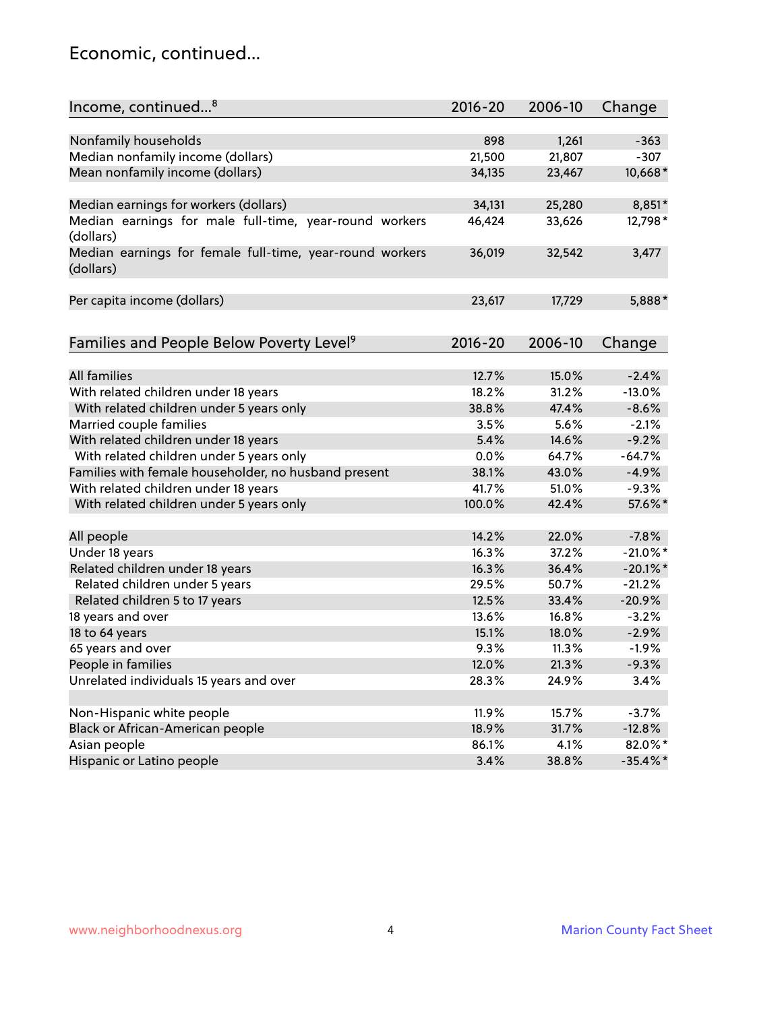### Economic, continued...

| Income, continued <sup>8</sup>                                        | $2016 - 20$ | 2006-10 | Change      |
|-----------------------------------------------------------------------|-------------|---------|-------------|
|                                                                       |             |         |             |
| Nonfamily households                                                  | 898         | 1,261   | $-363$      |
| Median nonfamily income (dollars)                                     | 21,500      | 21,807  | $-307$      |
| Mean nonfamily income (dollars)                                       | 34,135      | 23,467  | 10,668*     |
| Median earnings for workers (dollars)                                 | 34,131      | 25,280  | 8,851*      |
| Median earnings for male full-time, year-round workers<br>(dollars)   | 46,424      | 33,626  | 12,798*     |
| Median earnings for female full-time, year-round workers<br>(dollars) | 36,019      | 32,542  | 3,477       |
| Per capita income (dollars)                                           | 23,617      | 17,729  | 5,888*      |
| Families and People Below Poverty Level <sup>9</sup>                  | 2016-20     | 2006-10 | Change      |
|                                                                       |             |         |             |
| <b>All families</b>                                                   | 12.7%       | 15.0%   | $-2.4%$     |
| With related children under 18 years                                  | 18.2%       | 31.2%   | $-13.0%$    |
| With related children under 5 years only                              | 38.8%       | 47.4%   | $-8.6%$     |
| Married couple families                                               | 3.5%        | 5.6%    | $-2.1%$     |
| With related children under 18 years                                  | 5.4%        | 14.6%   | $-9.2%$     |
| With related children under 5 years only                              | 0.0%        | 64.7%   | $-64.7%$    |
| Families with female householder, no husband present                  | 38.1%       | 43.0%   | $-4.9%$     |
| With related children under 18 years                                  | 41.7%       | 51.0%   | $-9.3%$     |
| With related children under 5 years only                              | 100.0%      | 42.4%   | 57.6%*      |
| All people                                                            | 14.2%       | 22.0%   | $-7.8%$     |
| Under 18 years                                                        | 16.3%       | 37.2%   | $-21.0\%$ * |
| Related children under 18 years                                       | 16.3%       | 36.4%   | $-20.1\%$ * |
| Related children under 5 years                                        | 29.5%       | 50.7%   | $-21.2%$    |
| Related children 5 to 17 years                                        | 12.5%       | 33.4%   | $-20.9%$    |
| 18 years and over                                                     | 13.6%       | 16.8%   | $-3.2%$     |
| 18 to 64 years                                                        | 15.1%       | 18.0%   | $-2.9%$     |
| 65 years and over                                                     | 9.3%        | 11.3%   | $-1.9%$     |
| People in families                                                    | 12.0%       | 21.3%   | $-9.3%$     |
| Unrelated individuals 15 years and over                               | 28.3%       | 24.9%   | 3.4%        |
|                                                                       |             |         |             |
| Non-Hispanic white people                                             | 11.9%       | 15.7%   | $-3.7%$     |
| Black or African-American people                                      | 18.9%       | 31.7%   | $-12.8%$    |
| Asian people                                                          | 86.1%       | 4.1%    | 82.0%*      |
| Hispanic or Latino people                                             | 3.4%        | 38.8%   | $-35.4\%$ * |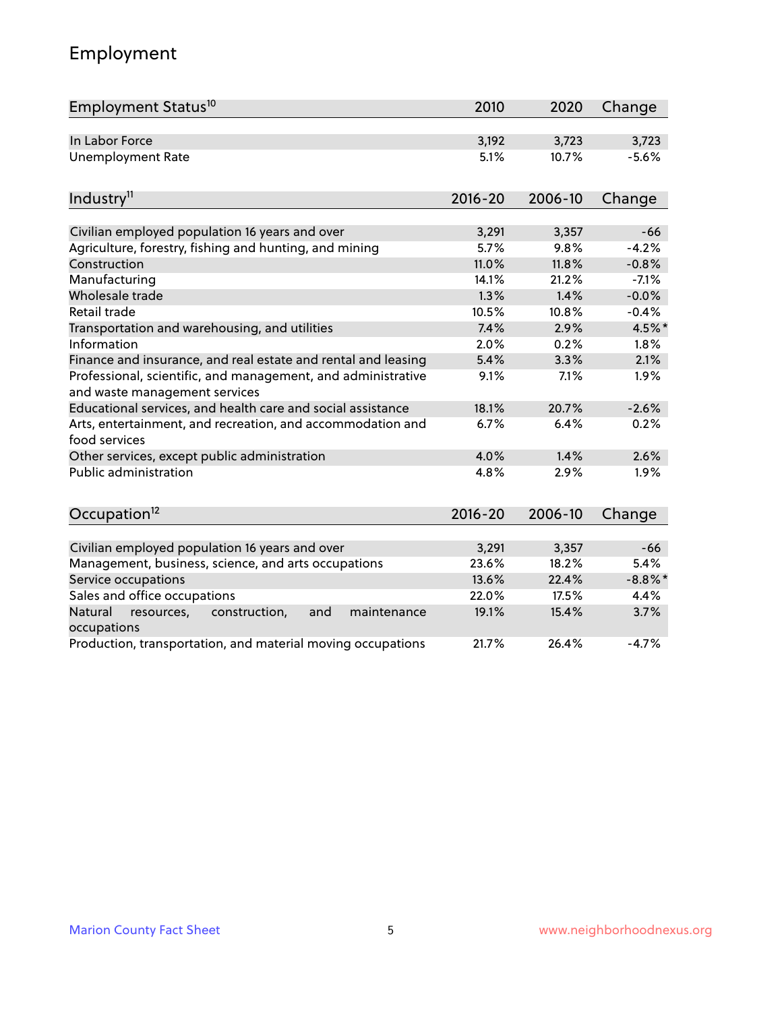# Employment

| Employment Status <sup>10</sup>                                                               | 2010        | 2020    | Change     |
|-----------------------------------------------------------------------------------------------|-------------|---------|------------|
| In Labor Force                                                                                | 3,192       | 3,723   | 3,723      |
| <b>Unemployment Rate</b>                                                                      | 5.1%        | 10.7%   | $-5.6%$    |
| Industry <sup>11</sup>                                                                        | $2016 - 20$ | 2006-10 | Change     |
|                                                                                               |             |         |            |
| Civilian employed population 16 years and over                                                | 3,291       | 3,357   | $-66$      |
| Agriculture, forestry, fishing and hunting, and mining                                        | 5.7%        | 9.8%    | $-4.2%$    |
| Construction                                                                                  | 11.0%       | 11.8%   | $-0.8%$    |
| Manufacturing                                                                                 | 14.1%       | 21.2%   | $-7.1%$    |
| Wholesale trade                                                                               | 1.3%        | 1.4%    | $-0.0%$    |
| Retail trade                                                                                  | 10.5%       | 10.8%   | $-0.4%$    |
| Transportation and warehousing, and utilities                                                 | 7.4%        | 2.9%    | 4.5%*      |
| Information                                                                                   | 2.0%        | 0.2%    | 1.8%       |
| Finance and insurance, and real estate and rental and leasing                                 | 5.4%        | 3.3%    | 2.1%       |
| Professional, scientific, and management, and administrative<br>and waste management services | 9.1%        | 7.1%    | 1.9%       |
| Educational services, and health care and social assistance                                   | 18.1%       | 20.7%   | $-2.6%$    |
| Arts, entertainment, and recreation, and accommodation and<br>food services                   | 6.7%        | 6.4%    | 0.2%       |
| Other services, except public administration                                                  | 4.0%        | 1.4%    | 2.6%       |
| <b>Public administration</b>                                                                  | 4.8%        | 2.9%    | 1.9%       |
| Occupation <sup>12</sup>                                                                      | $2016 - 20$ | 2006-10 | Change     |
|                                                                                               |             |         |            |
| Civilian employed population 16 years and over                                                | 3,291       | 3,357   | $-66$      |
| Management, business, science, and arts occupations                                           | 23.6%       | 18.2%   | 5.4%       |
| Service occupations                                                                           | 13.6%       | 22.4%   | $-8.8\%$ * |
| Sales and office occupations                                                                  | 22.0%       | 17.5%   | 4.4%       |
| Natural<br>construction,<br>and<br>resources,<br>maintenance<br>occupations                   | 19.1%       | 15.4%   | 3.7%       |
| Production, transportation, and material moving occupations                                   | 21.7%       | 26.4%   | $-4.7%$    |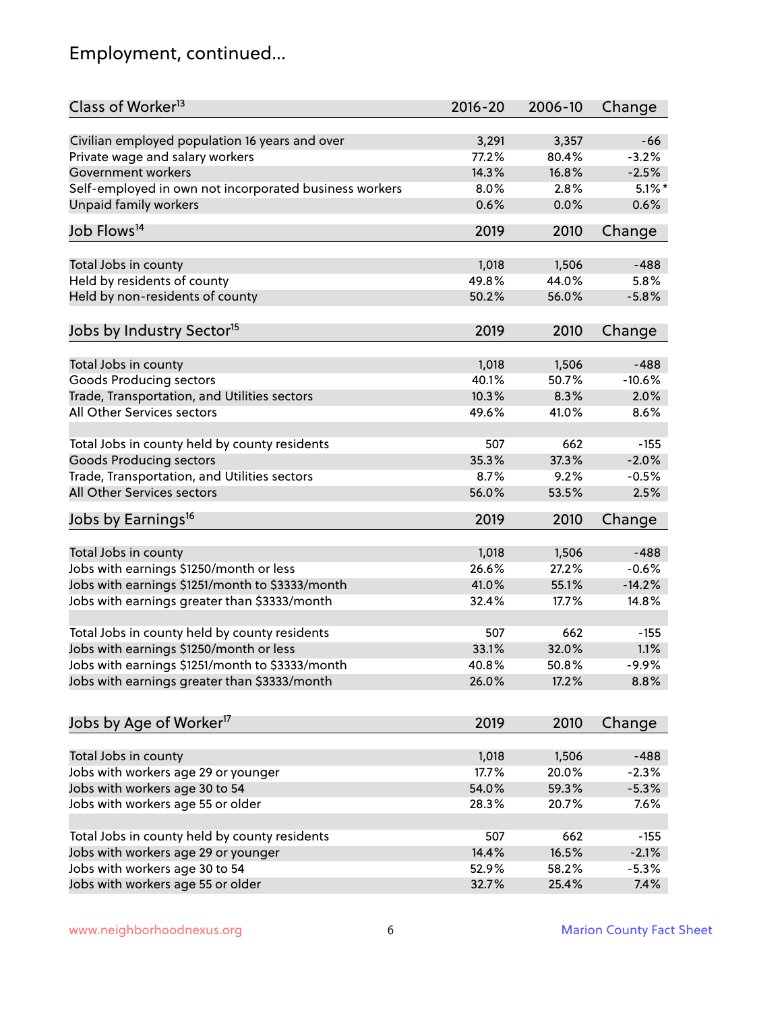# Employment, continued...

| Class of Worker <sup>13</sup>                          | $2016 - 20$    | 2006-10        | Change            |
|--------------------------------------------------------|----------------|----------------|-------------------|
| Civilian employed population 16 years and over         | 3,291          | 3,357          | -66               |
| Private wage and salary workers                        | 77.2%          | 80.4%          | $-3.2%$           |
| Government workers                                     | 14.3%          | 16.8%          | $-2.5%$           |
| Self-employed in own not incorporated business workers | 8.0%           | 2.8%           | $5.1\%$ *         |
| Unpaid family workers                                  | 0.6%           | 0.0%           | 0.6%              |
| Job Flows <sup>14</sup>                                | 2019           |                |                   |
|                                                        |                | 2010           | Change            |
| Total Jobs in county                                   | 1,018          | 1,506          | $-488$            |
| Held by residents of county                            | 49.8%          | 44.0%          | 5.8%              |
| Held by non-residents of county                        | 50.2%          | 56.0%          | $-5.8%$           |
|                                                        |                |                |                   |
| Jobs by Industry Sector <sup>15</sup>                  | 2019           | 2010           | Change            |
| Total Jobs in county                                   | 1,018          | 1,506          | $-488$            |
| Goods Producing sectors                                | 40.1%          | 50.7%          | $-10.6%$          |
| Trade, Transportation, and Utilities sectors           | 10.3%          | 8.3%           | 2.0%              |
| All Other Services sectors                             | 49.6%          | 41.0%          | 8.6%              |
|                                                        |                |                |                   |
| Total Jobs in county held by county residents          | 507            | 662            | $-155$            |
| <b>Goods Producing sectors</b>                         | 35.3%          | 37.3%          | $-2.0%$           |
| Trade, Transportation, and Utilities sectors           | 8.7%           | 9.2%           | $-0.5%$           |
| All Other Services sectors                             | 56.0%          | 53.5%          | 2.5%              |
| Jobs by Earnings <sup>16</sup>                         | 2019           | 2010           | Change            |
| Total Jobs in county                                   | 1,018          | 1,506          | $-488$            |
| Jobs with earnings \$1250/month or less                | 26.6%          | 27.2%          | $-0.6%$           |
| Jobs with earnings \$1251/month to \$3333/month        | 41.0%          | 55.1%          | $-14.2%$          |
| Jobs with earnings greater than \$3333/month           | 32.4%          | 17.7%          | 14.8%             |
|                                                        |                |                |                   |
| Total Jobs in county held by county residents          | 507            | 662            | $-155$            |
| Jobs with earnings \$1250/month or less                | 33.1%          | 32.0%          | 1.1%              |
| Jobs with earnings \$1251/month to \$3333/month        | 40.8%          | 50.8%          | $-9.9\%$          |
| Jobs with earnings greater than \$3333/month           | 26.0%          | 17.2%          | 8.8%              |
|                                                        |                |                |                   |
| Jobs by Age of Worker <sup>17</sup>                    | 2019           | 2010           | Change            |
|                                                        |                |                |                   |
| Total Jobs in county                                   | 1,018<br>17.7% | 1,506<br>20.0% | $-488$<br>$-2.3%$ |
| Jobs with workers age 29 or younger                    | 54.0%          | 59.3%          | $-5.3%$           |
| Jobs with workers age 30 to 54                         |                |                |                   |
| Jobs with workers age 55 or older                      | 28.3%          | 20.7%          | 7.6%              |
| Total Jobs in county held by county residents          | 507            | 662            | $-155$            |
| Jobs with workers age 29 or younger                    | 14.4%          | 16.5%          | $-2.1%$           |
| Jobs with workers age 30 to 54                         | 52.9%          | 58.2%          | $-5.3%$           |
| Jobs with workers age 55 or older                      | 32.7%          | 25.4%          | 7.4%              |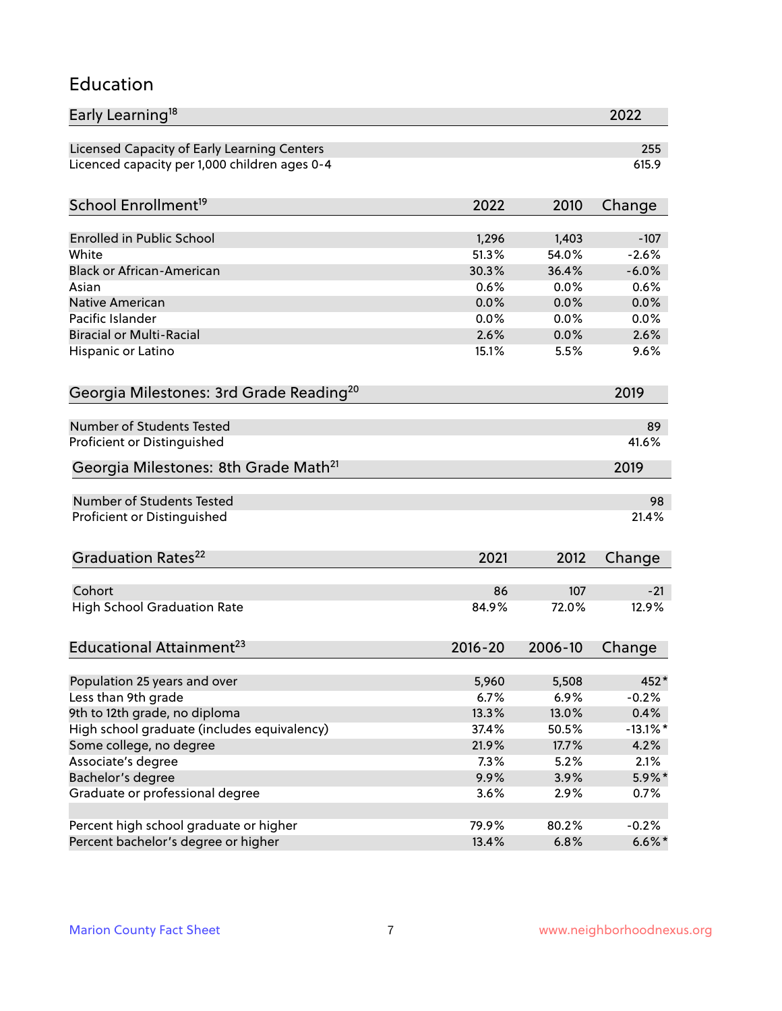#### Education

| Early Learning <sup>18</sup>                        |              |         | 2022            |
|-----------------------------------------------------|--------------|---------|-----------------|
| Licensed Capacity of Early Learning Centers         |              |         | 255             |
| Licenced capacity per 1,000 children ages 0-4       |              |         | 615.9           |
| School Enrollment <sup>19</sup>                     | 2022         | 2010    | Change          |
|                                                     |              |         |                 |
| <b>Enrolled in Public School</b>                    | 1,296        | 1,403   | $-107$          |
| White<br><b>Black or African-American</b>           | 51.3%        | 54.0%   | $-2.6%$         |
|                                                     | 30.3%        | 36.4%   | $-6.0%$<br>0.6% |
| Asian                                               | 0.6%         | 0.0%    |                 |
| <b>Native American</b><br>Pacific Islander          | 0.0%         | 0.0%    | 0.0%            |
| <b>Biracial or Multi-Racial</b>                     | 0.0%<br>2.6% | 0.0%    | 0.0%<br>2.6%    |
|                                                     |              | 0.0%    |                 |
| Hispanic or Latino                                  | 15.1%        | 5.5%    | 9.6%            |
| Georgia Milestones: 3rd Grade Reading <sup>20</sup> |              |         | 2019            |
| <b>Number of Students Tested</b>                    |              |         | 89              |
| Proficient or Distinguished                         |              |         | 41.6%           |
| Georgia Milestones: 8th Grade Math <sup>21</sup>    |              |         | 2019            |
| <b>Number of Students Tested</b>                    |              |         | 98              |
| Proficient or Distinguished                         |              |         | 21.4%           |
| Graduation Rates <sup>22</sup>                      | 2021         | 2012    | Change          |
| Cohort                                              | 86           | 107     | $-21$           |
| <b>High School Graduation Rate</b>                  | 84.9%        | 72.0%   | 12.9%           |
|                                                     |              |         |                 |
| Educational Attainment <sup>23</sup>                | $2016 - 20$  | 2006-10 | Change          |
| Population 25 years and over                        | 5,960        | 5,508   | 452*            |
| Less than 9th grade                                 | 6.7%         | 6.9%    | $-0.2%$         |
| 9th to 12th grade, no diploma                       | 13.3%        | 13.0%   | 0.4%            |
| High school graduate (includes equivalency)         | 37.4%        | 50.5%   | $-13.1\%$ *     |
| Some college, no degree                             | 21.9%        | 17.7%   | 4.2%            |
| Associate's degree                                  | 7.3%         | 5.2%    | 2.1%            |
| Bachelor's degree                                   | 9.9%         | 3.9%    | $5.9\%*$        |
| Graduate or professional degree                     | 3.6%         | 2.9%    | 0.7%            |
|                                                     |              |         |                 |
| Percent high school graduate or higher              | 79.9%        | 80.2%   | $-0.2%$         |
| Percent bachelor's degree or higher                 | 13.4%        | 6.8%    | $6.6\%$ *       |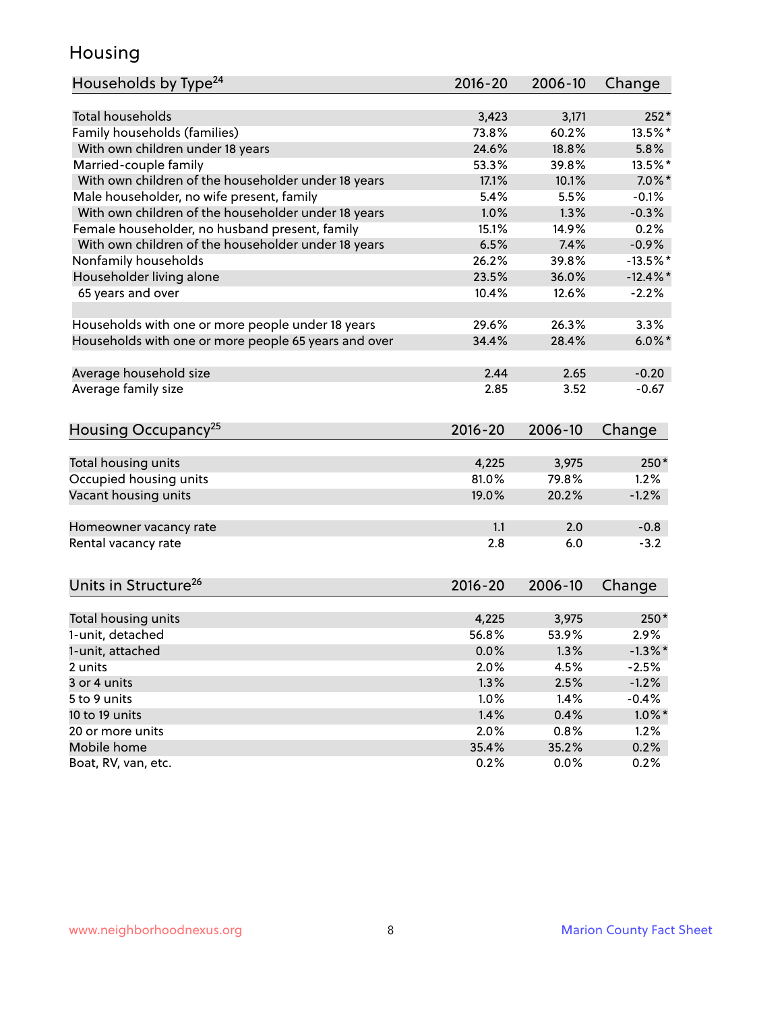### Housing

| Households by Type <sup>24</sup>                     | 2016-20     | 2006-10 | Change      |
|------------------------------------------------------|-------------|---------|-------------|
|                                                      |             |         |             |
| <b>Total households</b>                              | 3,423       | 3,171   | $252*$      |
| Family households (families)                         | 73.8%       | 60.2%   | 13.5%*      |
| With own children under 18 years                     | 24.6%       | 18.8%   | 5.8%        |
| Married-couple family                                | 53.3%       | 39.8%   | 13.5%*      |
| With own children of the householder under 18 years  | 17.1%       | 10.1%   | $7.0\%$ *   |
| Male householder, no wife present, family            | 5.4%        | 5.5%    | $-0.1%$     |
| With own children of the householder under 18 years  | 1.0%        | 1.3%    | $-0.3%$     |
| Female householder, no husband present, family       | 15.1%       | 14.9%   | 0.2%        |
| With own children of the householder under 18 years  | 6.5%        | 7.4%    | $-0.9%$     |
| Nonfamily households                                 | 26.2%       | 39.8%   | $-13.5%$ *  |
| Householder living alone                             | 23.5%       | 36.0%   | $-12.4\%$ * |
| 65 years and over                                    | 10.4%       | 12.6%   | $-2.2%$     |
|                                                      |             |         |             |
| Households with one or more people under 18 years    | 29.6%       | 26.3%   | 3.3%        |
| Households with one or more people 65 years and over | 34.4%       | 28.4%   | $6.0\%$ *   |
| Average household size                               | 2.44        | 2.65    | $-0.20$     |
| Average family size                                  | 2.85        | 3.52    | $-0.67$     |
|                                                      |             |         |             |
| Housing Occupancy <sup>25</sup>                      | $2016 - 20$ | 2006-10 | Change      |
|                                                      | 4,225       | 3,975   | 250*        |
| Total housing units                                  | 81.0%       | 79.8%   | 1.2%        |
| Occupied housing units                               |             |         |             |
| Vacant housing units                                 | 19.0%       | 20.2%   | $-1.2%$     |
| Homeowner vacancy rate                               | 1.1         | 2.0     | $-0.8$      |
| Rental vacancy rate                                  | 2.8         | 6.0     | $-3.2$      |
|                                                      |             |         |             |
| Units in Structure <sup>26</sup>                     | $2016 - 20$ | 2006-10 | Change      |
|                                                      |             |         |             |
| Total housing units                                  | 4,225       | 3,975   | $250*$      |
| 1-unit, detached                                     | 56.8%       | 53.9%   | 2.9%        |
| 1-unit, attached                                     | 0.0%        | 1.3%    | $-1.3\%$ *  |
| 2 units                                              | 2.0%        | 4.5%    | $-2.5%$     |
| 3 or 4 units                                         | 1.3%        | 2.5%    | $-1.2%$     |
| 5 to 9 units                                         | 1.0%        | 1.4%    | $-0.4%$     |
| 10 to 19 units                                       | 1.4%        | 0.4%    | $1.0\%$ *   |
| 20 or more units                                     | 2.0%        | 0.8%    | 1.2%        |
| Mobile home                                          | 35.4%       | 35.2%   | 0.2%        |
| Boat, RV, van, etc.                                  | 0.2%        | 0.0%    | 0.2%        |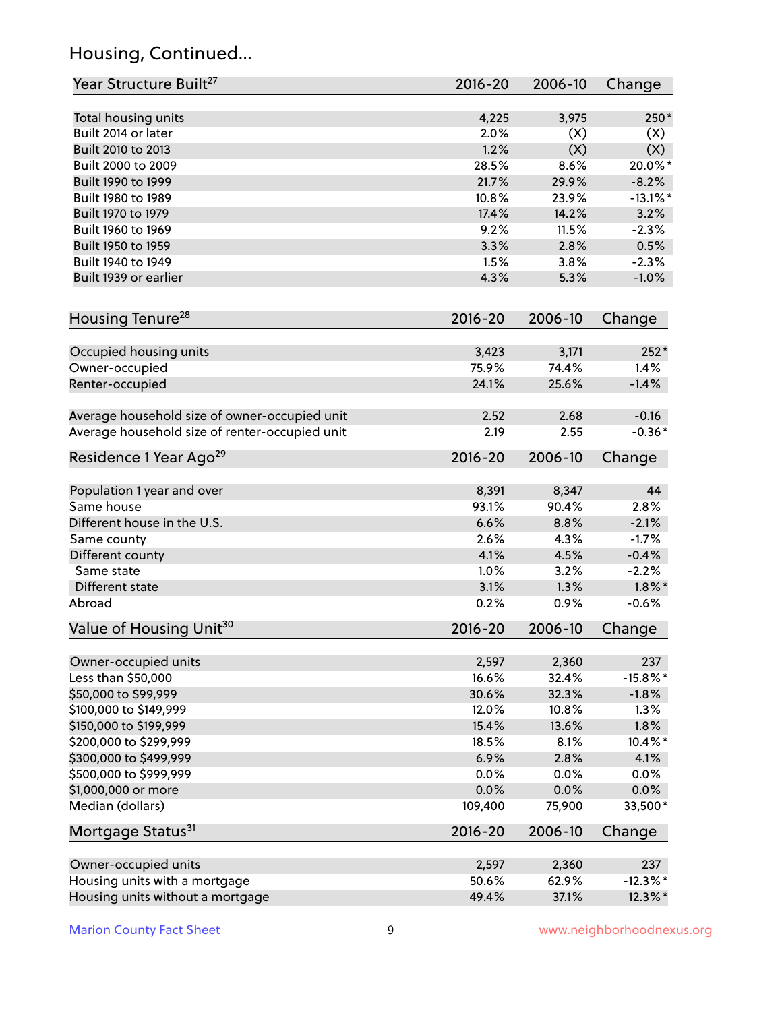# Housing, Continued...

| Year Structure Built <sup>27</sup>             | 2016-20     | 2006-10 | Change      |
|------------------------------------------------|-------------|---------|-------------|
| Total housing units                            | 4,225       | 3,975   | $250*$      |
| Built 2014 or later                            | 2.0%        | (X)     | (X)         |
| Built 2010 to 2013                             | 1.2%        | (X)     | (X)         |
| Built 2000 to 2009                             | 28.5%       | 8.6%    | 20.0%*      |
| Built 1990 to 1999                             | 21.7%       | 29.9%   | $-8.2%$     |
| Built 1980 to 1989                             | 10.8%       | 23.9%   | $-13.1\%$ * |
| Built 1970 to 1979                             | 17.4%       | 14.2%   | 3.2%        |
| Built 1960 to 1969                             | 9.2%        | 11.5%   | $-2.3%$     |
| Built 1950 to 1959                             | 3.3%        | 2.8%    | 0.5%        |
| Built 1940 to 1949                             | 1.5%        | 3.8%    | $-2.3%$     |
| Built 1939 or earlier                          | 4.3%        | 5.3%    | $-1.0%$     |
| Housing Tenure <sup>28</sup>                   | $2016 - 20$ | 2006-10 | Change      |
|                                                |             |         |             |
| Occupied housing units                         | 3,423       | 3,171   | $252*$      |
| Owner-occupied                                 | 75.9%       | 74.4%   | 1.4%        |
| Renter-occupied                                | 24.1%       | 25.6%   | $-1.4%$     |
| Average household size of owner-occupied unit  | 2.52        | 2.68    | $-0.16$     |
| Average household size of renter-occupied unit | 2.19        | 2.55    | $-0.36*$    |
| Residence 1 Year Ago <sup>29</sup>             | 2016-20     | 2006-10 | Change      |
|                                                | 8,391       | 8,347   | 44          |
| Population 1 year and over<br>Same house       | 93.1%       | 90.4%   | 2.8%        |
| Different house in the U.S.                    | 6.6%        | 8.8%    | $-2.1%$     |
| Same county                                    | 2.6%        | 4.3%    | $-1.7%$     |
| Different county                               | 4.1%        | 4.5%    | $-0.4%$     |
| Same state                                     | 1.0%        | 3.2%    | $-2.2%$     |
| Different state                                | 3.1%        | 1.3%    | $1.8\%$ *   |
| Abroad                                         | 0.2%        | 0.9%    | $-0.6%$     |
| Value of Housing Unit <sup>30</sup>            | 2016-20     | 2006-10 | Change      |
|                                                |             |         |             |
| Owner-occupied units                           | 2,597       | 2,360   | 237         |
| Less than \$50,000                             | 16.6%       | 32.4%   | $-15.8\%$ * |
| \$50,000 to \$99,999                           | 30.6%       | 32.3%   | $-1.8%$     |
| \$100,000 to \$149,999                         | 12.0%       | 10.8%   | 1.3%        |
| \$150,000 to \$199,999                         | 15.4%       | 13.6%   | 1.8%        |
| \$200,000 to \$299,999                         | 18.5%       | 8.1%    | 10.4%*      |
| \$300,000 to \$499,999                         | 6.9%        | 2.8%    | 4.1%        |
| \$500,000 to \$999,999                         | 0.0%        | 0.0%    | 0.0%        |
| \$1,000,000 or more                            | 0.0%        | 0.0%    | 0.0%        |
| Median (dollars)                               | 109,400     | 75,900  | 33,500*     |
| Mortgage Status <sup>31</sup>                  | $2016 - 20$ | 2006-10 | Change      |
| Owner-occupied units                           | 2,597       | 2,360   | 237         |
| Housing units with a mortgage                  | 50.6%       | 62.9%   | $-12.3\%$ * |
| Housing units without a mortgage               | 49.4%       | 37.1%   | 12.3%*      |
|                                                |             |         |             |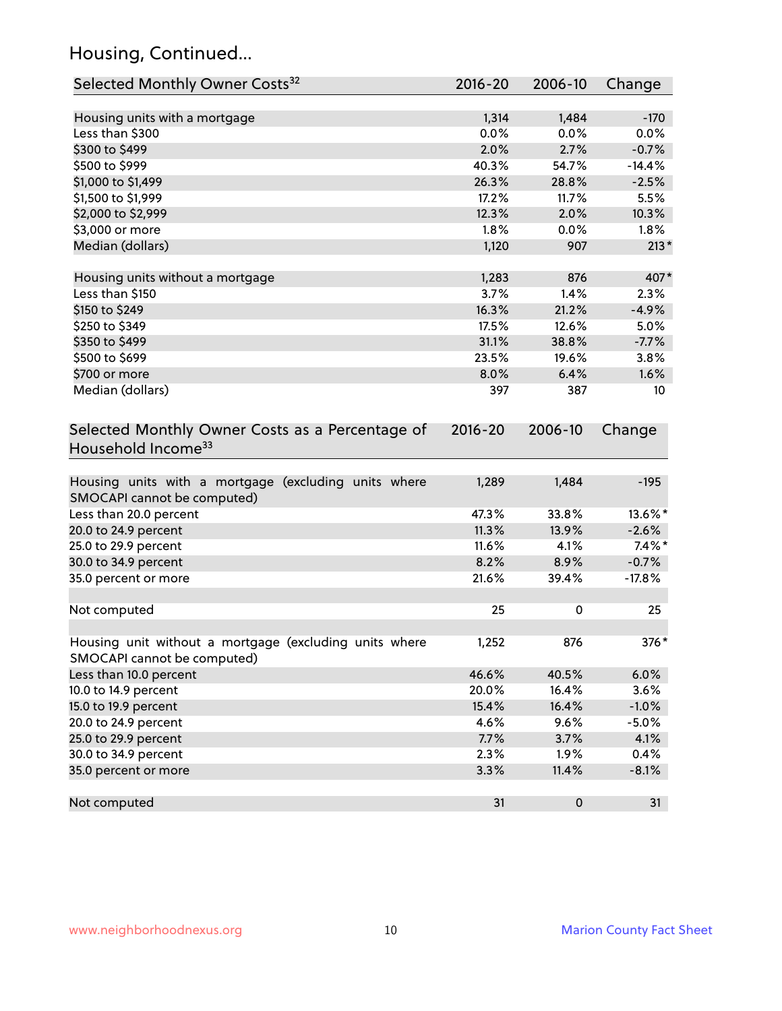# Housing, Continued...

| Selected Monthly Owner Costs <sup>32</sup>                                            | 2016-20     | 2006-10 | Change   |
|---------------------------------------------------------------------------------------|-------------|---------|----------|
| Housing units with a mortgage                                                         | 1,314       | 1,484   | $-170$   |
| Less than \$300                                                                       | 0.0%        | 0.0%    | 0.0%     |
| \$300 to \$499                                                                        | 2.0%        | 2.7%    | $-0.7%$  |
| \$500 to \$999                                                                        | 40.3%       | 54.7%   | $-14.4%$ |
| \$1,000 to \$1,499                                                                    | 26.3%       | 28.8%   | $-2.5%$  |
| \$1,500 to \$1,999                                                                    | 17.2%       | 11.7%   | 5.5%     |
| \$2,000 to \$2,999                                                                    | 12.3%       | 2.0%    | 10.3%    |
| \$3,000 or more                                                                       | 1.8%        | 0.0%    | 1.8%     |
| Median (dollars)                                                                      | 1,120       | 907     | $213*$   |
|                                                                                       |             |         |          |
| Housing units without a mortgage                                                      | 1,283       | 876     | 407*     |
| Less than \$150                                                                       | 3.7%        | 1.4%    | 2.3%     |
| \$150 to \$249                                                                        | 16.3%       | 21.2%   | $-4.9%$  |
| \$250 to \$349                                                                        | 17.5%       | 12.6%   | 5.0%     |
| \$350 to \$499                                                                        | 31.1%       | 38.8%   | $-7.7%$  |
| \$500 to \$699                                                                        | 23.5%       | 19.6%   | 3.8%     |
| \$700 or more                                                                         | 8.0%        | 6.4%    | 1.6%     |
| Median (dollars)                                                                      | 397         | 387     | 10       |
| Selected Monthly Owner Costs as a Percentage of<br>Household Income <sup>33</sup>     | $2016 - 20$ | 2006-10 | Change   |
| Housing units with a mortgage (excluding units where<br>SMOCAPI cannot be computed)   | 1,289       | 1,484   | $-195$   |
| Less than 20.0 percent                                                                | 47.3%       | 33.8%   | 13.6%*   |
| 20.0 to 24.9 percent                                                                  | 11.3%       | 13.9%   | $-2.6%$  |
| 25.0 to 29.9 percent                                                                  | 11.6%       | 4.1%    | $7.4\%*$ |
| 30.0 to 34.9 percent                                                                  | 8.2%        | 8.9%    | $-0.7%$  |
| 35.0 percent or more                                                                  | 21.6%       | 39.4%   | $-17.8%$ |
| Not computed                                                                          | 25          | 0       | 25       |
| Housing unit without a mortgage (excluding units where<br>SMOCAPI cannot be computed) | 1,252       | 876     | 376*     |
| Less than 10.0 percent                                                                | 46.6%       | 40.5%   | 6.0%     |
| 10.0 to 14.9 percent                                                                  | 20.0%       | 16.4%   | 3.6%     |
| 15.0 to 19.9 percent                                                                  | 15.4%       | 16.4%   | $-1.0%$  |
| 20.0 to 24.9 percent                                                                  | 4.6%        | 9.6%    | $-5.0%$  |
| 25.0 to 29.9 percent                                                                  | 7.7%        | 3.7%    | 4.1%     |
| 30.0 to 34.9 percent                                                                  | 2.3%        | 1.9%    | 0.4%     |
| 35.0 percent or more                                                                  | 3.3%        | 11.4%   | $-8.1%$  |
| Not computed                                                                          | 31          | 0       | 31       |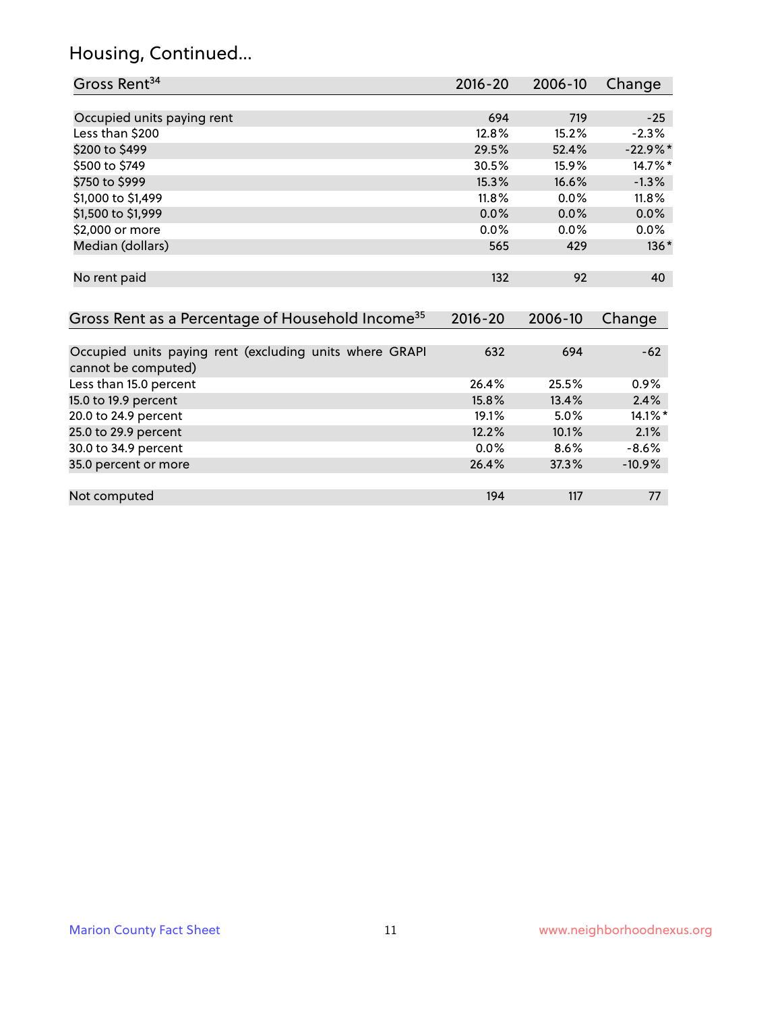# Housing, Continued...

| Gross Rent <sup>34</sup>                                                       | $2016 - 20$ | 2006-10 | Change     |
|--------------------------------------------------------------------------------|-------------|---------|------------|
|                                                                                |             |         |            |
| Occupied units paying rent                                                     | 694         | 719     | $-25$      |
| Less than \$200                                                                | 12.8%       | 15.2%   | $-2.3%$    |
| \$200 to \$499                                                                 | 29.5%       | 52.4%   | $-22.9%$ * |
| \$500 to \$749                                                                 | 30.5%       | 15.9%   | 14.7%*     |
| \$750 to \$999                                                                 | 15.3%       | 16.6%   | $-1.3%$    |
| \$1,000 to \$1,499                                                             | 11.8%       | 0.0%    | 11.8%      |
| \$1,500 to \$1,999                                                             | $0.0\%$     | 0.0%    | 0.0%       |
| \$2,000 or more                                                                | 0.0%        | 0.0%    | $0.0\%$    |
| Median (dollars)                                                               | 565         | 429     | $136*$     |
| No rent paid                                                                   | 132         | 92      | 40         |
| Gross Rent as a Percentage of Household Income <sup>35</sup>                   | $2016 - 20$ | 2006-10 | Change     |
| Occupied units paying rent (excluding units where GRAPI<br>cannot be computed) | 632         | 694     | $-62$      |
| Less than 15.0 percent                                                         | 26.4%       | 25.5%   | 0.9%       |
| 15.0 to 19.9 percent                                                           | 15.8%       | 13.4%   | 2.4%       |
| 20.0 to 24.9 percent                                                           | 19.1%       | 5.0%    | $14.1\%$ * |
| 25.0 to 29.9 percent                                                           | 12.2%       | 10.1%   | 2.1%       |
| 30.0 to 34.9 percent                                                           | 0.0%        | 8.6%    | $-8.6%$    |
| 35.0 percent or more                                                           | 26.4%       | 37.3%   | $-10.9%$   |
| Not computed                                                                   | 194         | 117     | 77         |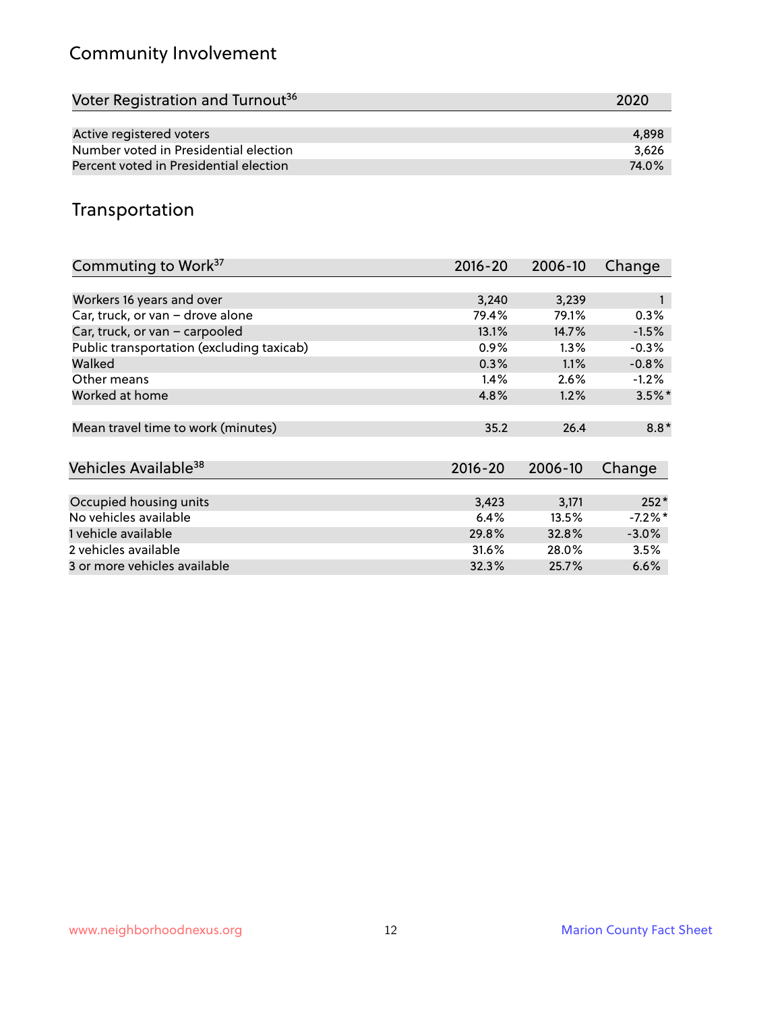# Community Involvement

| Voter Registration and Turnout <sup>36</sup> | 2020  |
|----------------------------------------------|-------|
|                                              |       |
| Active registered voters                     | 4.898 |
| Number voted in Presidential election        | 3.626 |
| Percent voted in Presidential election       | 74.0% |

# Transportation

| Commuting to Work <sup>37</sup>           | 2016-20     | 2006-10 | Change     |
|-------------------------------------------|-------------|---------|------------|
|                                           |             |         |            |
| Workers 16 years and over                 | 3,240       | 3,239   |            |
| Car, truck, or van - drove alone          | 79.4%       | 79.1%   | $0.3\%$    |
| Car, truck, or van - carpooled            | 13.1%       | 14.7%   | $-1.5%$    |
| Public transportation (excluding taxicab) | 0.9%        | $1.3\%$ | $-0.3%$    |
| Walked                                    | 0.3%        | 1.1%    | $-0.8%$    |
| Other means                               | 1.4%        | 2.6%    | $-1.2%$    |
| Worked at home                            | 4.8%        | 1.2%    | $3.5\%$ *  |
|                                           |             |         |            |
| Mean travel time to work (minutes)        | 35.2        | 26.4    | $8.8*$     |
|                                           |             |         |            |
| Vehicles Available <sup>38</sup>          | $2016 - 20$ | 2006-10 | Change     |
|                                           |             |         |            |
| Occupied housing units                    | 3,423       | 3,171   | $252*$     |
| No vehicles available                     | 6.4%        | 13.5%   | $-7.2\%$ * |
| 1 vehicle available                       | 29.8%       | 32.8%   | $-3.0%$    |
| 2 vehicles available                      | 31.6%       | 28.0%   | 3.5%       |
| 3 or more vehicles available              | 32.3%       | 25.7%   | 6.6%       |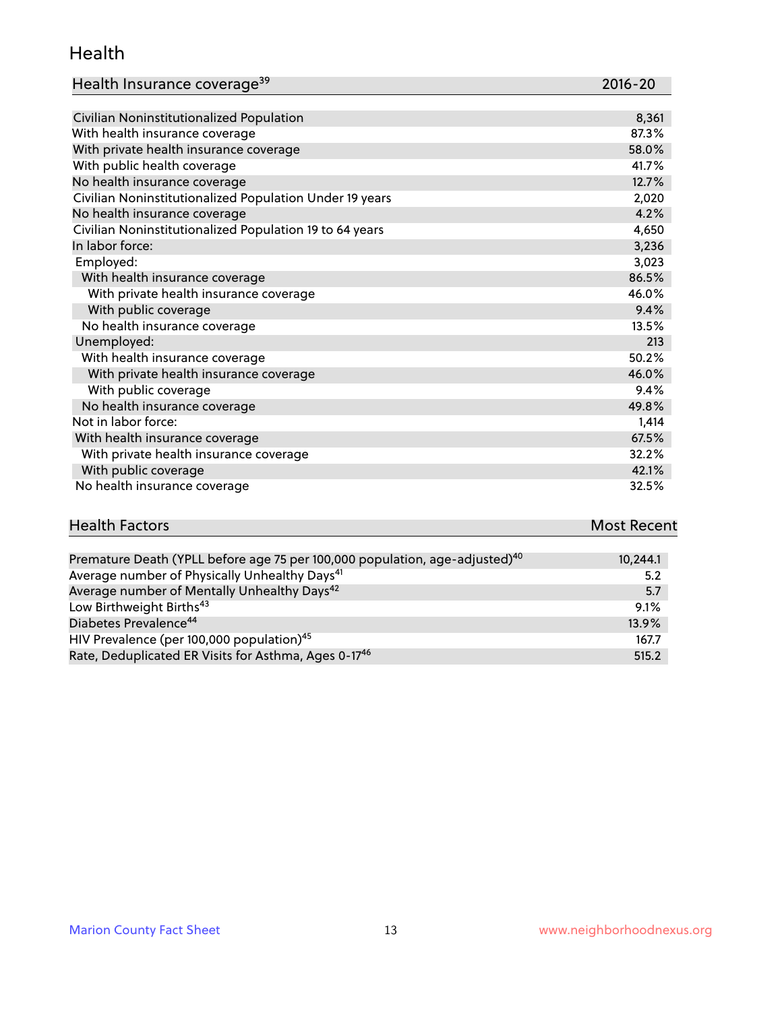#### Health

| Health Insurance coverage <sup>39</sup> | 2016-20 |
|-----------------------------------------|---------|
|-----------------------------------------|---------|

| Civilian Noninstitutionalized Population                | 8,361 |
|---------------------------------------------------------|-------|
| With health insurance coverage                          | 87.3% |
| With private health insurance coverage                  | 58.0% |
| With public health coverage                             | 41.7% |
| No health insurance coverage                            | 12.7% |
| Civilian Noninstitutionalized Population Under 19 years | 2,020 |
| No health insurance coverage                            | 4.2%  |
| Civilian Noninstitutionalized Population 19 to 64 years | 4,650 |
| In labor force:                                         | 3,236 |
| Employed:                                               | 3,023 |
| With health insurance coverage                          | 86.5% |
| With private health insurance coverage                  | 46.0% |
| With public coverage                                    | 9.4%  |
| No health insurance coverage                            | 13.5% |
| Unemployed:                                             | 213   |
| With health insurance coverage                          | 50.2% |
| With private health insurance coverage                  | 46.0% |
| With public coverage                                    | 9.4%  |
| No health insurance coverage                            | 49.8% |
| Not in labor force:                                     | 1,414 |
| With health insurance coverage                          | 67.5% |
| With private health insurance coverage                  | 32.2% |
| With public coverage                                    | 42.1% |
| No health insurance coverage                            | 32.5% |

| <b>Health Factors</b>                                                                   | <b>Most Recent</b> |
|-----------------------------------------------------------------------------------------|--------------------|
|                                                                                         |                    |
| Premature Death (YPLL before age 75 per 100,000 population, age-adjusted) <sup>40</sup> | 10.244.1           |

| Premature Death (TPLL before age 75 per 100,000 population, age-agjusted). " | <b>10,244.1</b> |
|------------------------------------------------------------------------------|-----------------|
| Average number of Physically Unhealthy Days <sup>41</sup>                    | 5.2             |
| Average number of Mentally Unhealthy Days <sup>42</sup>                      | 5.7             |
| Low Birthweight Births <sup>43</sup>                                         | 9.1%            |
| Diabetes Prevalence <sup>44</sup>                                            | 13.9%           |
| HIV Prevalence (per 100,000 population) <sup>45</sup>                        | 167.7           |
| Rate, Deduplicated ER Visits for Asthma, Ages 0-17 <sup>46</sup>             | 515.2           |